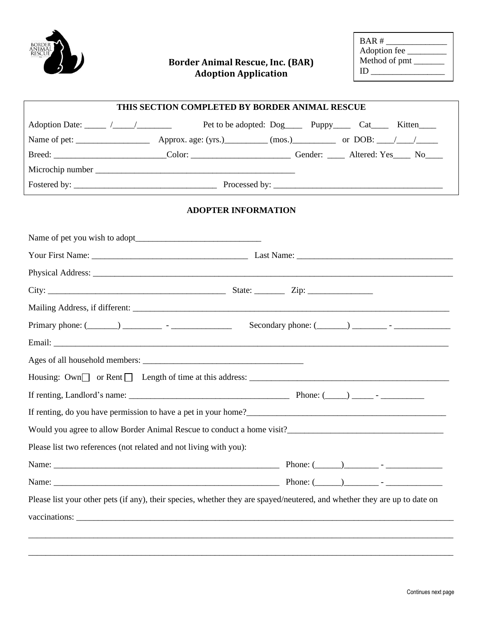

## **Border Animal Rescue, Inc. (BAR) Adoption Application**

| BAR#          |
|---------------|
| Adoption fee  |
| Method of pmt |
| Ю             |
|               |

|                                                                                                                           | HIS SECTION COMPLETED BY BORDER ANIMAL RESCUE |  |  |
|---------------------------------------------------------------------------------------------------------------------------|-----------------------------------------------|--|--|
|                                                                                                                           |                                               |  |  |
|                                                                                                                           |                                               |  |  |
| Breed: __________________________Color: ___________________________Gender: _____ Altered: Yes____ No____                  |                                               |  |  |
|                                                                                                                           |                                               |  |  |
|                                                                                                                           |                                               |  |  |
|                                                                                                                           | <b>ADOPTER INFORMATION</b>                    |  |  |
|                                                                                                                           |                                               |  |  |
|                                                                                                                           |                                               |  |  |
|                                                                                                                           |                                               |  |  |
|                                                                                                                           |                                               |  |  |
|                                                                                                                           |                                               |  |  |
|                                                                                                                           |                                               |  |  |
|                                                                                                                           |                                               |  |  |
|                                                                                                                           |                                               |  |  |
| Housing: $Own$ or Rent $\Box$ Length of time at this address: $\Box$                                                      |                                               |  |  |
|                                                                                                                           |                                               |  |  |
|                                                                                                                           |                                               |  |  |
| Would you agree to allow Border Animal Rescue to conduct a home visit?                                                    |                                               |  |  |
| Please list two references (not related and not living with you):                                                         |                                               |  |  |
|                                                                                                                           |                                               |  |  |
|                                                                                                                           |                                               |  |  |
| Please list your other pets (if any), their species, whether they are spayed/neutered, and whether they are up to date on |                                               |  |  |
|                                                                                                                           |                                               |  |  |
|                                                                                                                           |                                               |  |  |
|                                                                                                                           |                                               |  |  |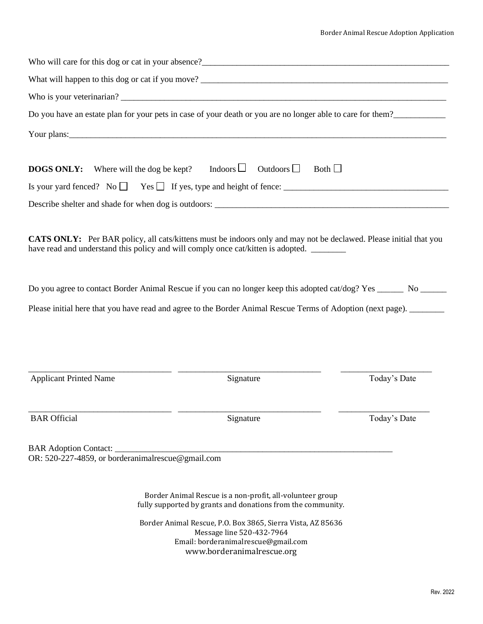|                                                  | Do you have an estate plan for your pets in case of your death or you are no longer able to care for them?                                                                                                                                                                                                           |              |
|--------------------------------------------------|----------------------------------------------------------------------------------------------------------------------------------------------------------------------------------------------------------------------------------------------------------------------------------------------------------------------|--------------|
|                                                  | Your plans: $\frac{1}{2}$ and $\frac{1}{2}$ and $\frac{1}{2}$ and $\frac{1}{2}$ and $\frac{1}{2}$ and $\frac{1}{2}$ and $\frac{1}{2}$ and $\frac{1}{2}$ and $\frac{1}{2}$ and $\frac{1}{2}$ and $\frac{1}{2}$ and $\frac{1}{2}$ and $\frac{1}{2}$ and $\frac{1}{2}$ and $\frac{1}{2}$ and                            |              |
| Where will the dog be kept?<br><b>DOGS ONLY:</b> | Indoors $\Box$<br>Outdoors $\Box$                                                                                                                                                                                                                                                                                    | Both $\Box$  |
|                                                  |                                                                                                                                                                                                                                                                                                                      |              |
|                                                  |                                                                                                                                                                                                                                                                                                                      |              |
|                                                  | have read and understand this policy and will comply once cat/kitten is adopted.<br>Do you agree to contact Border Animal Rescue if you can no longer keep this adopted cat/dog? Yes ______ No ______<br>Please initial here that you have read and agree to the Border Animal Rescue Terms of Adoption (next page). |              |
|                                                  |                                                                                                                                                                                                                                                                                                                      |              |
| <b>Applicant Printed Name</b>                    | Signature                                                                                                                                                                                                                                                                                                            | Today's Date |
| <b>BAR</b> Official                              | Signature                                                                                                                                                                                                                                                                                                            | Today's Date |